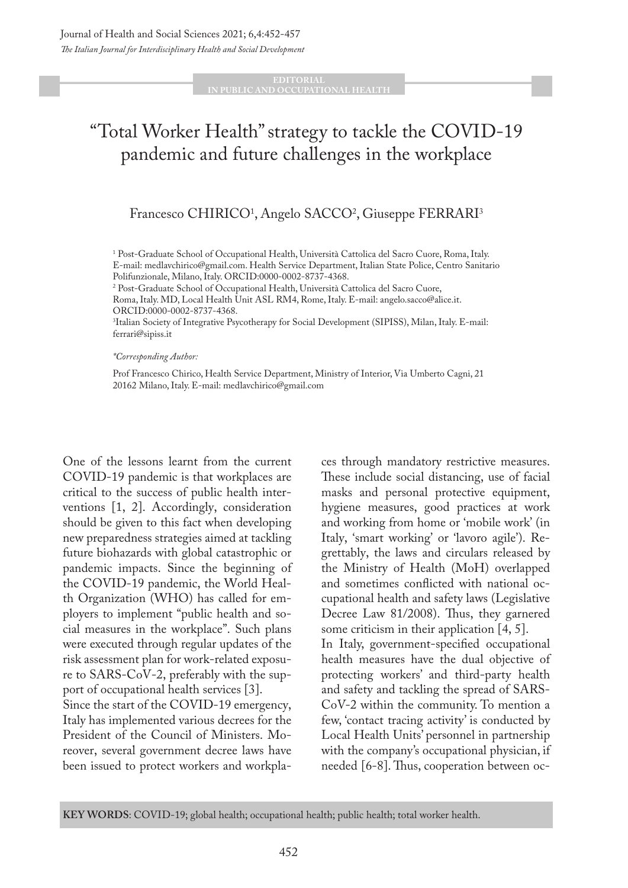### **IN PUBLIC AND OCCUPATIONAL HEALTH**

# "Total Worker Health" strategy to tackle the COVID-19 pandemic and future challenges in the workplace

## Francesco CHIRICO<sup>1</sup>, Angelo SACCO<sup>2</sup>, Giuseppe FERRARI<sup>3</sup>

<sup>1</sup> Post-Graduate School of Occupational Health, Università Cattolica del Sacro Cuore, Roma, Italy. E-mail: medlavchirico@gmail.com. Health Service Department, Italian State Police, Centro Sanitario Polifunzionale, Milano, Italy. ORCID:0000-0002-8737-4368.

<sup>2</sup> Post-Graduate School of Occupational Health, Università Cattolica del Sacro Cuore,

Roma, Italy. MD, Local Health Unit ASL RM4, Rome, Italy. E-mail: angelo.sacco@alice.it. ORCID:0000-0002-8737-4368.

3 Italian Society of Integrative Psycotherapy for Social Development (SIPISS), Milan, Italy. E-mail: ferrari@sipiss.it

*\*Corresponding Author:* 

Prof Francesco Chirico, Health Service Department, Ministry of Interior, Via Umberto Cagni, 21 20162 Milano, Italy. E-mail: medlavchirico@gmail.com

One of the lessons learnt from the current COVID-19 pandemic is that workplaces are critical to the success of public health interventions [1, 2]. Accordingly, consideration should be given to this fact when developing new preparedness strategies aimed at tackling future biohazards with global catastrophic or pandemic impacts. Since the beginning of the COVID-19 pandemic, the World Health Organization (WHO) has called for employers to implement "public health and social measures in the workplace". Such plans were executed through regular updates of the risk assessment plan for work-related exposure to SARS-CoV-2, preferably with the support of occupational health services [3].

Since the start of the COVID-19 emergency, Italy has implemented various decrees for the President of the Council of Ministers. Moreover, several government decree laws have been issued to protect workers and workpla-

ces through mandatory restrictive measures. These include social distancing, use of facial masks and personal protective equipment, hygiene measures, good practices at work and working from home or 'mobile work' (in Italy, 'smart working' or 'lavoro agile'). Regrettably, the laws and circulars released by the Ministry of Health (MoH) overlapped and sometimes conflicted with national occupational health and safety laws (Legislative Decree Law 81/2008). Thus, they garnered some criticism in their application [4, 5]. In Italy, government-specified occupational health measures have the dual objective of protecting workers' and third-party health and safety and tackling the spread of SARS-CoV-2 within the community. To mention a few, 'contact tracing activity' is conducted by Local Health Units' personnel in partnership with the company's occupational physician, if needed [6-8]. Thus, cooperation between oc-

**KEY WORDS**: COVID-19; global health; occupational health; public health; total worker health.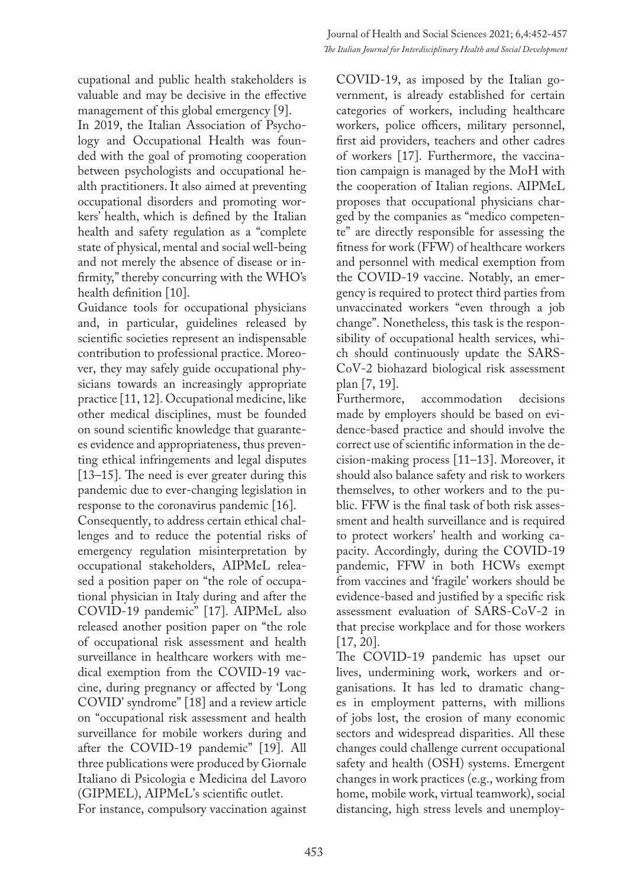cupational and public health stakeholders is valuable and may be decisive in the effective management of this global emergency [9].

In 2019, the Italian Association of Psychology and Occupational Health was founded with the goal of promoting cooperation between psychologists and occupational health practitioners. It also aimed at preventing occupational disorders and promoting workers' health, which is defined by the Italian health and safety regulation as a "complete state of physical, mental and social well-being and not merely the absence of disease or infirmity," thereby concurring with the WHO's health definition [10].

Guidance tools for occupational physicians and, in particular, guidelines released by scientific societies represent an indispensable contribution to professional practice. Moreover, they may safely guide occupational physicians towards an increasingly appropriate practice [11, 12]. Occupational medicine, like other medical disciplines, must be founded on sound scientific knowledge that guarantees evidence and appropriateness, thus preventing ethical infringements and legal disputes [13–15]. The need is ever greater during this pandemic due to ever-changing legislation in response to the coronavirus pandemic [16].

Consequently, to address certain ethical challenges and to reduce the potential risks of emergency regulation misinterpretation by occupational stakeholders, AIPMeL released a position paper on "the role of occupational physician in Italy during and after the COVID-19 pandemic" [17]. AIPMeL also released another position paper on "the role of occupational risk assessment and health surveillance in healthcare workers with medical exemption from the COVID-19 vaccine, during pregnancy or affected by 'Long COVID' syndrome" [18] and a review article on "occupational risk assessment and health surveillance for mobile workers during and after the COVID-19 pandemic" [19]. All three publications were produced by Giornale Italiano di Psicologia e Medicina del Lavoro (GIPMEL), AIPMeL's scientific outlet. For instance, compulsory vaccination against

COVID-19, as imposed by the Italian government, is already established for certain categories of workers, including healthcare workers, police officers, military personnel, first aid providers, teachers and other cadres of workers [17]. Furthermore, the vaccination campaign is managed by the MoH with the cooperation of Italian regions. AIPMeL proposes that occupational physicians charged by the companies as "medico competente" are directly responsible for assessing the fitness for work (FFW) of healthcare workers and personnel with medical exemption from the COVID-19 vaccine. Notably, an emergency is required to protect third parties from unvaccinated workers "even through a job change". Nonetheless, this task is the responsibility of occupational health services, which should continuously update the SARS-CoV-2 biohazard biological risk assessment plan [7, 19].

Furthermore, accommodation decisions made by employers should be based on evidence-based practice and should involve the correct use of scientific information in the decision-making process [11–13]. Moreover, it should also balance safety and risk to workers themselves, to other workers and to the public. FFW is the final task of both risk assessment and health surveillance and is required to protect workers' health and working capacity. Accordingly, during the COVID-19 pandemic, FFW in both HCWs exempt from vaccines and 'fragile' workers should be evidence-based and justified by a specific risk assessment evaluation of SARS-CoV-2 in that precise workplace and for those workers [17, 20].

The COVID-19 pandemic has upset our lives, undermining work, workers and organisations. It has led to dramatic changes in employment patterns, with millions of jobs lost, the erosion of many economic sectors and widespread disparities. All these changes could challenge current occupational safety and health (OSH) systems. Emergent changes in work practices (e.g., working from home, mobile work, virtual teamwork), social distancing, high stress levels and unemploy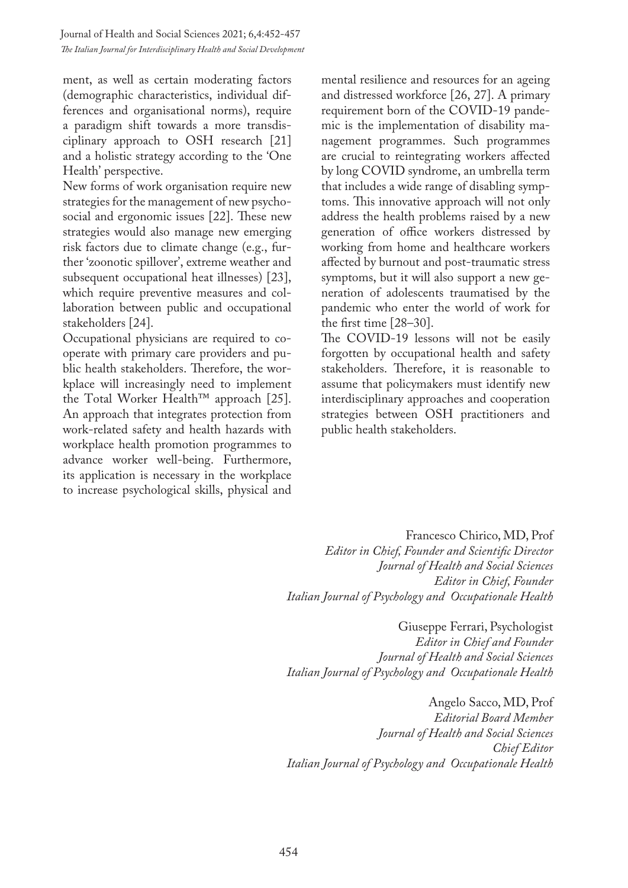ment, as well as certain moderating factors (demographic characteristics, individual differences and organisational norms), require a paradigm shift towards a more transdisciplinary approach to OSH research [21] and a holistic strategy according to the 'One Health' perspective.

New forms of work organisation require new strategies for the management of new psychosocial and ergonomic issues [22]. These new strategies would also manage new emerging risk factors due to climate change (e.g., further 'zoonotic spillover', extreme weather and subsequent occupational heat illnesses) [23], which require preventive measures and collaboration between public and occupational stakeholders [24].

Occupational physicians are required to cooperate with primary care providers and public health stakeholders. Therefore, the workplace will increasingly need to implement the Total Worker Health™ approach [25]. An approach that integrates protection from work-related safety and health hazards with workplace health promotion programmes to advance worker well-being. Furthermore, its application is necessary in the workplace to increase psychological skills, physical and mental resilience and resources for an ageing and distressed workforce [26, 27]. A primary requirement born of the COVID-19 pandemic is the implementation of disability management programmes. Such programmes are crucial to reintegrating workers affected by long COVID syndrome, an umbrella term that includes a wide range of disabling symptoms. This innovative approach will not only address the health problems raised by a new generation of office workers distressed by working from home and healthcare workers affected by burnout and post-traumatic stress symptoms, but it will also support a new generation of adolescents traumatised by the pandemic who enter the world of work for the first time [28–30].

The COVID-19 lessons will not be easily forgotten by occupational health and safety stakeholders. Therefore, it is reasonable to assume that policymakers must identify new interdisciplinary approaches and cooperation strategies between OSH practitioners and public health stakeholders.

Francesco Chirico, MD, Prof *Editor in Chief, Founder and Scientific Director Journal of Health and Social Sciences Editor in Chief, Founder Italian Journal of Psychology and Occupationale Health*

Giuseppe Ferrari, Psychologist *Editor in Chief and Founder Journal of Health and Social Sciences Italian Journal of Psychology and Occupationale Health*

Angelo Sacco, MD, Prof *Editorial Board Member Journal of Health and Social Sciences Chief Editor Italian Journal of Psychology and Occupationale Health*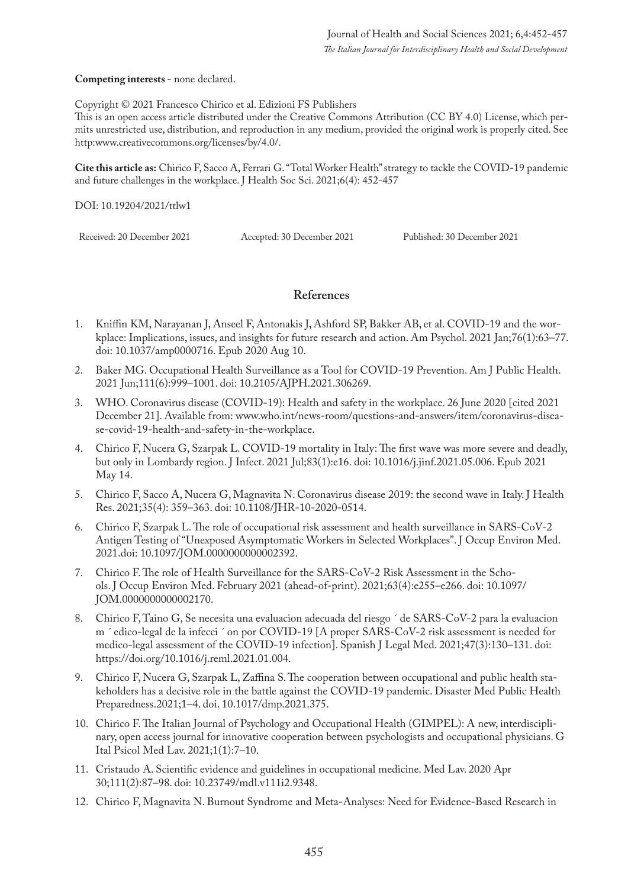**Competing interests** - none declared.

Copyright © 2021 Francesco Chirico et al. Edizioni FS Publishers

This is an open access article distributed under the Creative Commons Attribution (CC BY 4.0) License, which permits unrestricted use, distribution, and reproduction in any medium, provided the original work is properly cited. See http:www.creativecommons.org/licenses/by/4.0/.

**Cite this article as:** Chirico F, Sacco A, Ferrari G. "Total Worker Health" strategy to tackle the COVID-19 pandemic and future challenges in the workplace. J Health Soc Sci. 2021;6(4): 452-457

DOI: 10.19204/2021/ttlw1

Received: 20 December 2021 Accepted: 30 December 2021 Published: 30 December 2021

### **References**

- 1. Kniffin KM, Narayanan J, Anseel F, Antonakis J, Ashford SP, Bakker AB, et al. COVID-19 and the workplace: Implications, issues, and insights for future research and action. Am Psychol. 2021 Jan;76(1):63–77. doi: 10.1037/amp0000716. Epub 2020 Aug 10.
- 2. Baker MG. Occupational Health Surveillance as a Tool for COVID-19 Prevention. Am J Public Health. 2021 Jun;111(6):999–1001. doi: 10.2105/AJPH.2021.306269.
- 3. WHO. Coronavirus disease (COVID-19): Health and safety in the workplace. 26 June 2020 [cited 2021 December 21]. Available from: www.who.int/news-room/questions-and-answers/item/coronavirus-disease-covid-19-health-and-safety-in-the-workplace.
- 4. Chirico F, Nucera G, Szarpak L. COVID-19 mortality in Italy: The first wave was more severe and deadly, but only in Lombardy region. J Infect. 2021 Jul;83(1):e16. doi: 10.1016/j.jinf.2021.05.006. Epub 2021 May 14.
- 5. Chirico F, Sacco A, Nucera G, Magnavita N. Coronavirus disease 2019: the second wave in Italy. J Health Res. 2021;35(4): 359–363. doi: 10.1108/JHR-10-2020-0514.
- 6. Chirico F, Szarpak L. The role of occupational risk assessment and health surveillance in SARS-CoV-2 Antigen Testing of "Unexposed Asymptomatic Workers in Selected Workplaces". J Occup Environ Med. 2021.doi: 10.1097/JOM.0000000000002392.
- 7. Chirico F. The role of Health Surveillance for the SARS-CoV-2 Risk Assessment in the Schools. J Occup Environ Med. February 2021 (ahead-of-print). 2021;63(4):e255–e266. doi: 10.1097/ JOM.0000000000002170.
- 8. Chirico F, Taino G, Se necesita una evaluacion adecuada del riesgo ´ de SARS-CoV-2 para la evaluacion m ´ edico-legal de la infecci ´ on por COVID-19 [A proper SARS-CoV-2 risk assessment is needed for medico-legal assessment of the COVID-19 infection]. Spanish J Legal Med. 2021;47(3):130–131. doi: https://doi.org/10.1016/j.reml.2021.01.004.
- 9. Chirico F, Nucera G, Szarpak L, Zaffina S. The cooperation between occupational and public health stakeholders has a decisive role in the battle against the COVID-19 pandemic. Disaster Med Public Health Preparedness.2021;1–4. doi. 10.1017/dmp.2021.375.
- 10. Chirico F. The Italian Journal of Psychology and Occupational Health (GIMPEL): A new, interdisciplinary, open access journal for innovative cooperation between psychologists and occupational physicians. G Ital Psicol Med Lav. 2021;1(1):7–10.
- 11. Cristaudo A. Scientific evidence and guidelines in occupational medicine. Med Lav. 2020 Apr 30;111(2):87–98. doi: 10.23749/mdl.v111i2.9348.
- 12. Chirico F, Magnavita N. Burnout Syndrome and Meta-Analyses: Need for Evidence-Based Research in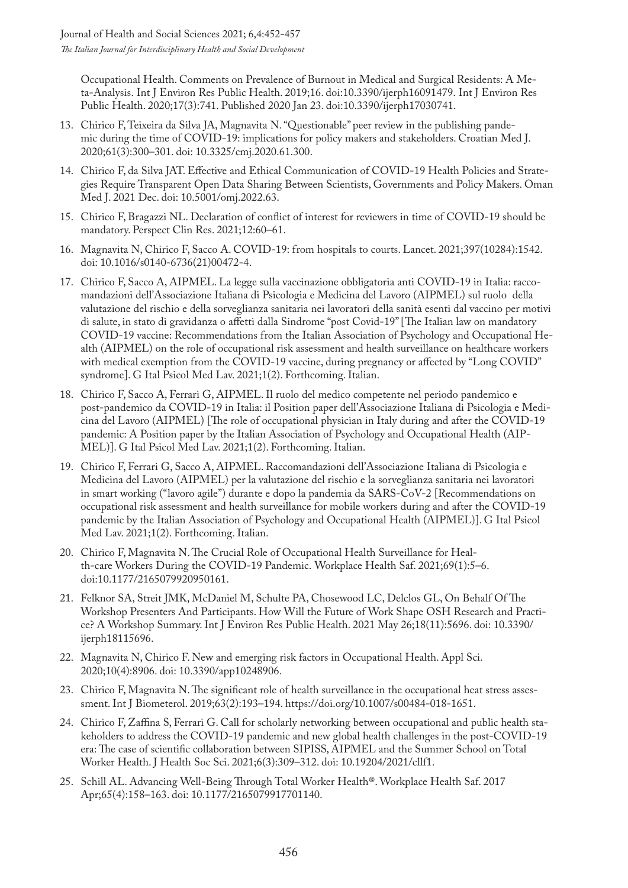Occupational Health. Comments on Prevalence of Burnout in Medical and Surgical Residents: A Meta-Analysis. Int J Environ Res Public Health. 2019;16. doi:10.3390/ijerph16091479. Int J Environ Res Public Health. 2020;17(3):741. Published 2020 Jan 23. doi:10.3390/ijerph17030741.

- 13. Chirico F, Teixeira da Silva JA, Magnavita N. "Questionable" peer review in the publishing pandemic during the time of COVID-19: implications for policy makers and stakeholders. Croatian Med J. 2020;61(3):300–301. doi: 10.3325/cmj.2020.61.300.
- 14. Chirico F, da Silva JAT. Effective and Ethical Communication of COVID-19 Health Policies and Strategies Require Transparent Open Data Sharing Between Scientists, Governments and Policy Makers. Oman Med J. 2021 Dec. doi: 10.5001/omj.2022.63.
- 15. Chirico F, Bragazzi NL. Declaration of conflict of interest for reviewers in time of COVID-19 should be mandatory. Perspect Clin Res. 2021;12:60–61.
- 16. Magnavita N, Chirico F, Sacco A. COVID-19: from hospitals to courts. Lancet. 2021;397(10284):1542. doi: 10.1016/s0140-6736(21)00472-4.
- 17. Chirico F, Sacco A, AIPMEL. La legge sulla vaccinazione obbligatoria anti COVID-19 in Italia: raccomandazioni dell'Associazione Italiana di Psicologia e Medicina del Lavoro (AIPMEL) sul ruolo della valutazione del rischio e della sorveglianza sanitaria nei lavoratori della sanità esenti dal vaccino per motivi di salute, in stato di gravidanza o affetti dalla Sindrome "post Covid-19" [The Italian law on mandatory COVID-19 vaccine: Recommendations from the Italian Association of Psychology and Occupational Health (AIPMEL) on the role of occupational risk assessment and health surveillance on healthcare workers with medical exemption from the COVID-19 vaccine, during pregnancy or affected by "Long COVID" syndrome]. G Ital Psicol Med Lav. 2021;1(2). Forthcoming. Italian.
- 18. Chirico F, Sacco A, Ferrari G, AIPMEL. Il ruolo del medico competente nel periodo pandemico e post-pandemico da COVID-19 in Italia: il Position paper dell'Associazione Italiana di Psicologia e Medicina del Lavoro (AIPMEL) [The role of occupational physician in Italy during and after the COVID-19 pandemic: A Position paper by the Italian Association of Psychology and Occupational Health (AIP-MEL)]. G Ital Psicol Med Lav. 2021;1(2). Forthcoming. Italian.
- 19. Chirico F, Ferrari G, Sacco A, AIPMEL. Raccomandazioni dell'Associazione Italiana di Psicologia e Medicina del Lavoro (AIPMEL) per la valutazione del rischio e la sorveglianza sanitaria nei lavoratori in smart working ("lavoro agile") durante e dopo la pandemia da SARS-CoV-2 [Recommendations on occupational risk assessment and health surveillance for mobile workers during and after the COVID-19 pandemic by the Italian Association of Psychology and Occupational Health (AIPMEL)]. G Ital Psicol Med Lav. 2021;1(2). Forthcoming. Italian.
- 20. Chirico F, Magnavita N. The Crucial Role of Occupational Health Surveillance for Health-care Workers During the COVID-19 Pandemic. Workplace Health Saf. 2021;69(1):5–6. doi:10.1177/2165079920950161.
- 21. Felknor SA, Streit JMK, McDaniel M, Schulte PA, Chosewood LC, Delclos GL, On Behalf Of The Workshop Presenters And Participants. How Will the Future of Work Shape OSH Research and Practice? A Workshop Summary. Int J Environ Res Public Health. 2021 May 26;18(11):5696. doi: 10.3390/ ijerph18115696.
- 22. Magnavita N, Chirico F. New and emerging risk factors in Occupational Health. Appl Sci. 2020;10(4):8906. doi: 10.3390/app10248906.
- 23. Chirico F, Magnavita N. The significant role of health surveillance in the occupational heat stress assessment. Int J Biometerol. 2019;63(2):193–194. https://doi.org/10.1007/s00484-018-1651.
- 24. Chirico F, Zaffina S, Ferrari G. Call for scholarly networking between occupational and public health stakeholders to address the COVID-19 pandemic and new global health challenges in the post-COVID-19 era: The case of scientific collaboration between SIPISS, AIPMEL and the Summer School on Total Worker Health. J Health Soc Sci. 2021;6(3):309–312. doi: 10.19204/2021/cllf1.
- 25. Schill AL. Advancing Well-Being Through Total Worker Health®. Workplace Health Saf. 2017 Apr;65(4):158–163. doi: 10.1177/2165079917701140.